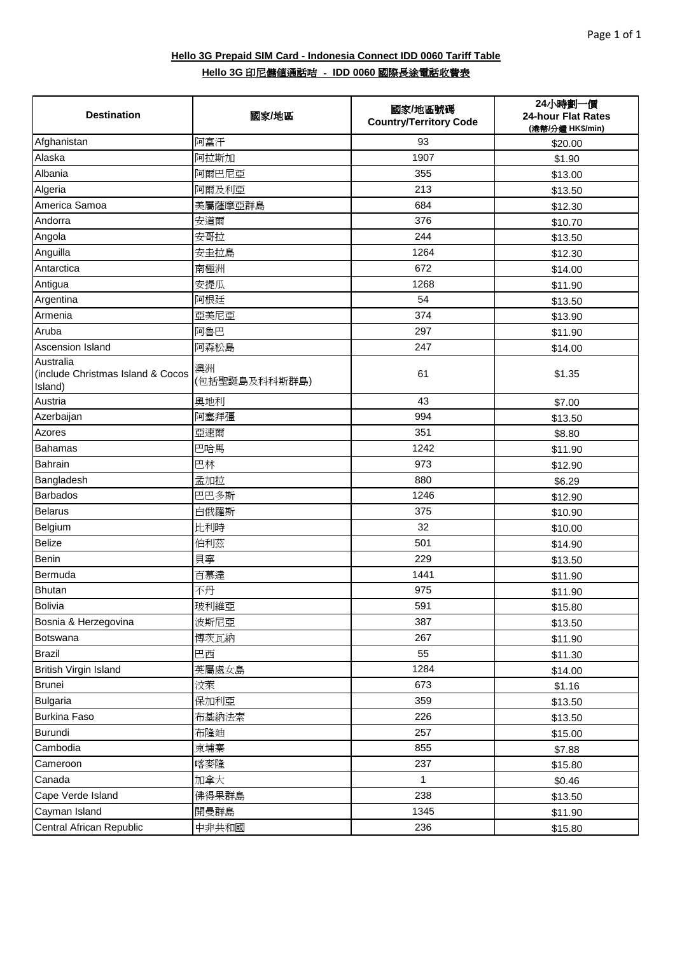| <b>Destination</b>                                        | 國家/地區               | 國家/地區號碼<br><b>Country/Territory Code</b> | 24小時劃一價<br>24-hour Flat Rates<br>(港幣/分鐘 HK\$/min) |
|-----------------------------------------------------------|---------------------|------------------------------------------|---------------------------------------------------|
| Afghanistan                                               | 阿富汗                 | 93                                       | \$20.00                                           |
| Alaska                                                    | 阿拉斯加                | 1907                                     | \$1.90                                            |
| Albania                                                   | 阿爾巴尼亞               | 355                                      | \$13.00                                           |
| Algeria                                                   | 阿爾及利亞               | 213                                      | \$13.50                                           |
| America Samoa                                             | 美屬薩摩亞群島             | 684                                      | \$12.30                                           |
| Andorra                                                   | 安道爾                 | 376                                      | \$10.70                                           |
| Angola                                                    | 安哥拉                 | 244                                      | \$13.50                                           |
| Anguilla                                                  | 安圭拉島                | 1264                                     | \$12.30                                           |
| Antarctica                                                | 南極洲                 | 672                                      | \$14.00                                           |
| Antigua                                                   | 安提瓜                 | 1268                                     | \$11.90                                           |
| Argentina                                                 | 阿根廷                 | 54                                       | \$13.50                                           |
| Armenia                                                   | 亞美尼亞                | 374                                      | \$13.90                                           |
| Aruba                                                     | 阿魯巴                 | 297                                      | \$11.90                                           |
| Ascension Island                                          | 阿森松島                | 247                                      | \$14.00                                           |
| Australia<br>(include Christmas Island & Cocos<br>Island) | 澳洲<br>(包括聖誕島及科科斯群島) | 61                                       | \$1.35                                            |
| Austria                                                   | 奧地利                 | 43                                       | \$7.00                                            |
| Azerbaijan                                                | 阿塞拜彊                | 994                                      | \$13.50                                           |
| Azores                                                    | 亞速爾                 | 351                                      | \$8.80                                            |
| <b>Bahamas</b>                                            | 巴哈馬                 | 1242                                     | \$11.90                                           |
| Bahrain                                                   | 巴林                  | 973                                      | \$12.90                                           |
| Bangladesh                                                | 孟加拉                 | 880                                      | \$6.29                                            |
| <b>Barbados</b>                                           | 巴巴多斯                | 1246                                     | \$12.90                                           |
| <b>Belarus</b>                                            | 白俄羅斯                | 375                                      | \$10.90                                           |
| Belgium                                                   | 比利時                 | 32                                       | \$10.00                                           |
| <b>Belize</b>                                             | 伯利茲                 | 501                                      | \$14.90                                           |
| Benin                                                     | 貝寧                  | 229                                      | \$13.50                                           |
| Bermuda                                                   | 百慕達                 | 1441                                     | \$11.90                                           |
| <b>Bhutan</b>                                             | 不丹                  | 975                                      | \$11.90                                           |
| Bolivia                                                   | 玻利維亞                | 591                                      | \$15.80                                           |
| Bosnia & Herzegovina                                      | 波斯尼亞                | 387                                      | \$13.50                                           |
| Botswana                                                  | 博茨瓦納                | 267                                      | \$11.90                                           |
| Brazil                                                    | 巴西                  | 55                                       | \$11.30                                           |
| British Virgin Island                                     | 英屬處女島               | 1284                                     | \$14.00                                           |
| <b>Brunei</b>                                             | 汝萊                  | 673                                      | \$1.16                                            |
| Bulgaria                                                  | 保加利亞                | 359                                      | \$13.50                                           |
| <b>Burkina Faso</b>                                       | 布基納法索               | 226                                      | \$13.50                                           |
| <b>Burundi</b>                                            | 布隆廸                 | 257                                      | \$15.00                                           |
| Cambodia                                                  | 柬埔寨                 | 855                                      | \$7.88                                            |
| Cameroon                                                  | 喀麥隆                 | 237                                      | \$15.80                                           |
| Canada                                                    | 加拿大                 | $\mathbf{1}$                             | \$0.46                                            |
| Cape Verde Island                                         | 佛得果群島               | 238                                      | \$13.50                                           |
| Cayman Island                                             | 開曼群島                | 1345                                     | \$11.90                                           |
| Central African Republic                                  | 中非共和國               | 236                                      | \$15.80                                           |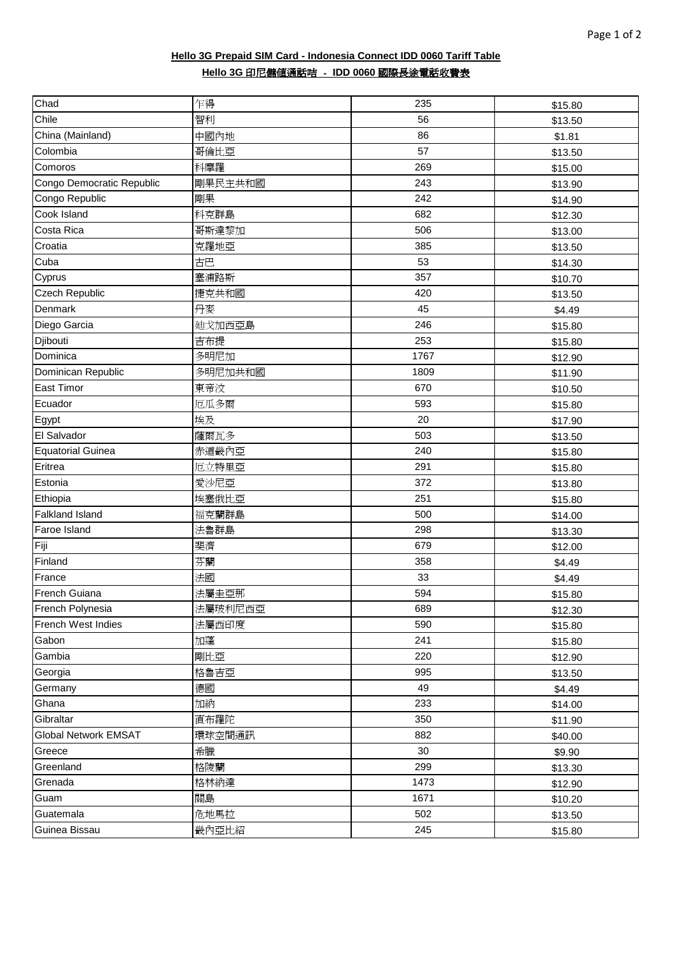| Chad                        | 乍得      | 235  | \$15.80 |
|-----------------------------|---------|------|---------|
| Chile                       | 智利      | 56   | \$13.50 |
| China (Mainland)            | 中國內地    | 86   | \$1.81  |
| Colombia                    | 哥倫比亞    | 57   | \$13.50 |
| Comoros                     | 科摩羅     | 269  | \$15.00 |
| Congo Democratic Republic   | 剛果民主共和國 | 243  | \$13.90 |
| Congo Republic              | 剛果      | 242  | \$14.90 |
| Cook Island                 | 科克群島    | 682  | \$12.30 |
| Costa Rica                  | 哥斯達黎加   | 506  | \$13.00 |
| Croatia                     | 克羅地亞    | 385  | \$13.50 |
| Cuba                        | 古巴      | 53   | \$14.30 |
| Cyprus                      | 塞浦路斯    | 357  | \$10.70 |
| Czech Republic              | 捷克共和國   | 420  | \$13.50 |
| Denmark                     | 丹麥      | 45   | \$4.49  |
| Diego Garcia                | 廸戈加西亞島  | 246  | \$15.80 |
| Djibouti                    | 吉布提     | 253  | \$15.80 |
| Dominica                    | 多明尼加    | 1767 | \$12.90 |
| Dominican Republic          | 多明尼加共和國 | 1809 | \$11.90 |
| <b>East Timor</b>           | 東帝汶     | 670  | \$10.50 |
| Ecuador                     | 厄瓜多爾    | 593  | \$15.80 |
| Egypt                       | 埃及      | 20   | \$17.90 |
| El Salvador                 | 薩爾瓦多    | 503  | \$13.50 |
| <b>Equatorial Guinea</b>    | 赤道畿內亞   | 240  | \$15.80 |
| Eritrea                     | 厄立特里亞   | 291  | \$15.80 |
| Estonia                     | 愛沙尼亞    | 372  | \$13.80 |
| Ethiopia                    | 埃塞俄比亞   | 251  | \$15.80 |
| <b>Falkland Island</b>      | 福克蘭群島   | 500  | \$14.00 |
| Faroe Island                | 法魯群島    | 298  | \$13.30 |
| Fiji                        | 斐濟      | 679  | \$12.00 |
| Finland                     | 芬蘭      | 358  | \$4.49  |
| France                      | 法國      | 33   | \$4.49  |
| French Guiana               | 法屬圭亞那   | 594  | \$15.80 |
| French Polynesia            | 法屬玻利尼西亞 | 689  | \$12.30 |
| French West Indies          | 法屬西印度   | 590  | \$15.80 |
| Gabon                       | 加蓬      | 241  | \$15.80 |
| Gambia                      | 剛比亞     | 220  | \$12.90 |
| Georgia                     | 格魯吉亞    | 995  | \$13.50 |
| Germany                     | 德國      | 49   | \$4.49  |
| Ghana                       | 加納      | 233  | \$14.00 |
| Gibraltar                   | 直布羅陀    | 350  | \$11.90 |
| <b>Global Network EMSAT</b> | 環球空間通訊  | 882  | \$40.00 |
| Greece                      | 希臘      | 30   | \$9.90  |
| Greenland                   | 格陵蘭     | 299  | \$13.30 |
| Grenada                     | 格林納達    | 1473 | \$12.90 |
| Guam                        | 關島      | 1671 | \$10.20 |
| Guatemala                   | 危地馬拉    | 502  | \$13.50 |
| Guinea Bissau               | 畿內亞比紹   | 245  | \$15.80 |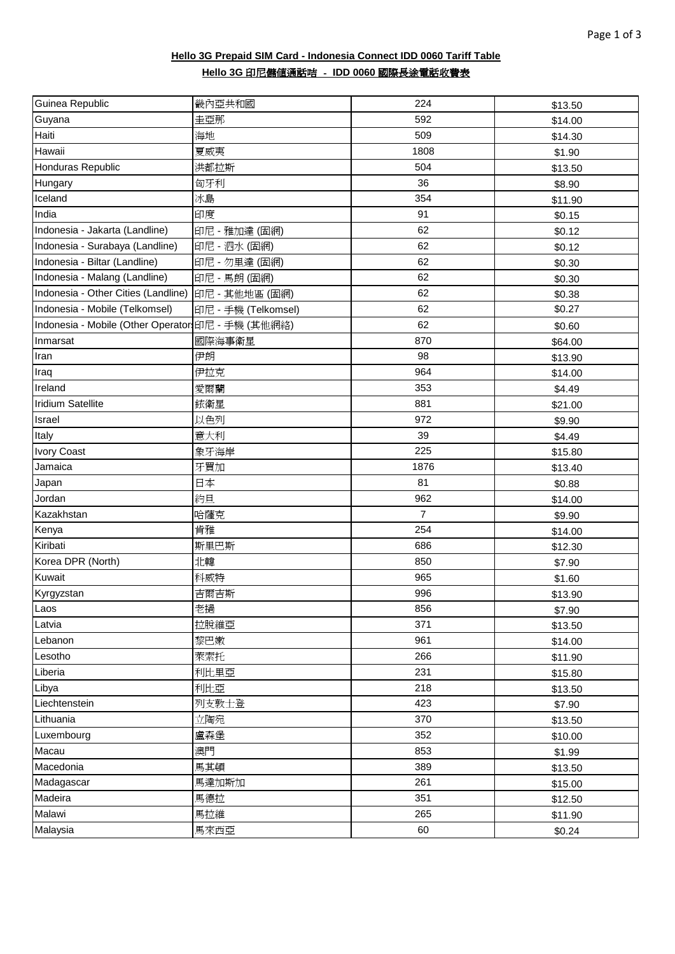| Guinea Republic                                   | 畿內亞共和國              | 224            | \$13.50 |
|---------------------------------------------------|---------------------|----------------|---------|
| Guyana                                            | 圭亞那                 | 592            | \$14.00 |
| Haiti                                             | 海地                  | 509            | \$14.30 |
| Hawaii                                            | 夏威夷                 | 1808           | \$1.90  |
| Honduras Republic                                 | 洪都拉斯                | 504            | \$13.50 |
| Hungary                                           | 匈牙利                 | 36             | \$8.90  |
| Iceland                                           | 冰島                  | 354            | \$11.90 |
| India                                             | 印度                  | 91             | \$0.15  |
| Indonesia - Jakarta (Landline)                    | 印尼 - 雅加達 (固網)       | 62             | \$0.12  |
| Indonesia - Surabaya (Landline)                   | 印尼 - 泗水 (固網)        | 62             | \$0.12  |
| Indonesia - Biltar (Landline)                     | 印尼 - 勿里達 (固網)       | 62             | \$0.30  |
| Indonesia - Malang (Landline)                     | 印尼 - 馬朗 (固網)        | 62             | \$0.30  |
| Indonesia - Other Cities (Landline)               | 印尼 - 其他地區 (固網)      | 62             | \$0.38  |
| Indonesia - Mobile (Telkomsel)                    | 印尼 - 手機 (Telkomsel) | 62             | \$0.27  |
| Indonesia - Mobile (Other Operator 印尼 - 手機 (其他網絡) |                     | 62             | \$0.60  |
| Inmarsat                                          | 國際海事衛星              | 870            | \$64.00 |
| Iran                                              | 伊朗                  | 98             | \$13.90 |
| Iraq                                              | 伊拉克                 | 964            | \$14.00 |
| Ireland                                           | 愛爾蘭                 | 353            | \$4.49  |
| <b>Iridium Satellite</b>                          | 銥衛星                 | 881            | \$21.00 |
| Israel                                            | 以色列                 | 972            | \$9.90  |
| Italy                                             | 意大利                 | 39             | \$4.49  |
| <b>Ivory Coast</b>                                | 象牙海岸                | 225            | \$15.80 |
| Jamaica                                           | 牙買加                 | 1876           | \$13.40 |
| Japan                                             | 日本                  | 81             | \$0.88  |
| Jordan                                            | 約旦                  | 962            | \$14.00 |
| Kazakhstan                                        | 哈薩克                 | $\overline{7}$ | \$9.90  |
| Kenya                                             | 肯雅                  | 254            | \$14.00 |
| Kiribati                                          | 斯里巴斯                | 686            | \$12.30 |
| Korea DPR (North)                                 | 北韓                  | 850            | \$7.90  |
| Kuwait                                            | 科威特                 | 965            | \$1.60  |
| Kyrgyzstan                                        | 吉爾吉斯                | 996            | \$13.90 |
| Laos                                              | 老撾                  | 856            | \$7.90  |
| Latvia                                            | 拉脫維亞                | 371            | \$13.50 |
| Lebanon                                           | 黎巴嫩                 | 961            | \$14.00 |
| Lesotho                                           | 萊索托                 | 266            | \$11.90 |
| Liberia                                           | 利比里亞                | 231            | \$15.80 |
| Libya                                             | 利比亞                 | 218            | \$13.50 |
| Liechtenstein                                     | 列支敦士登               | 423            | \$7.90  |
| Lithuania                                         | 立陶宛                 | 370            | \$13.50 |
| Luxembourg                                        | 盧森堡                 | 352            | \$10.00 |
| Macau                                             | 澳門                  | 853            | \$1.99  |
| Macedonia                                         | 馬其頓                 | 389            | \$13.50 |
| Madagascar                                        | 馬達加斯加               | 261            | \$15.00 |
| Madeira                                           | 馬德拉                 | 351            | \$12.50 |
| Malawi                                            | 馬拉維                 | 265            | \$11.90 |
| Malaysia                                          | 馬來西亞                | 60             | \$0.24  |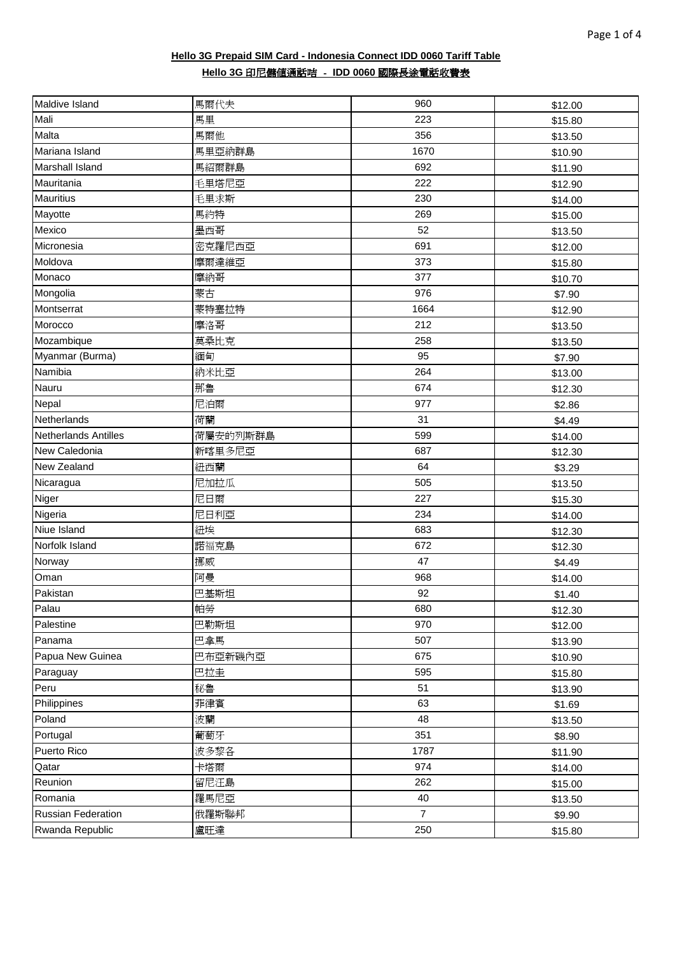| Maldive Island              | 馬爾代夫     | 960            | \$12.00 |
|-----------------------------|----------|----------------|---------|
| Mali                        | 馬里       | 223            | \$15.80 |
| Malta                       | 馬爾他      | 356            | \$13.50 |
| Mariana Island              | 馬里亞納群島   | 1670           | \$10.90 |
| <b>Marshall Island</b>      | 馬紹爾群島    | 692            | \$11.90 |
| Mauritania                  | 毛里塔尼亞    | 222            | \$12.90 |
| <b>Mauritius</b>            | 毛里求斯     | 230            | \$14.00 |
| Mayotte                     | 馬約特      | 269            | \$15.00 |
| Mexico                      | 墨西哥      | 52             | \$13.50 |
| Micronesia                  | 密克羅尼西亞   | 691            | \$12.00 |
| Moldova                     | 摩爾達維亞    | 373            | \$15.80 |
| Monaco                      | 摩納哥      | 377            | \$10.70 |
| Mongolia                    | 蒙古       | 976            | \$7.90  |
| Montserrat                  | 蒙特塞拉特    | 1664           | \$12.90 |
| Morocco                     | 摩洛哥      | 212            | \$13.50 |
| Mozambique                  | 莫桑比克     | 258            | \$13.50 |
| Myanmar (Burma)             | 緬甸       | 95             | \$7.90  |
| Namibia                     | 納米比亞     | 264            | \$13.00 |
| Nauru                       | 那魯       | 674            | \$12.30 |
| Nepal                       | 尼泊爾      | 977            | \$2.86  |
| Netherlands                 | 荷蘭       | 31             | \$4.49  |
| <b>Netherlands Antilles</b> | 荷屬安的列斯群島 | 599            | \$14.00 |
| New Caledonia               | 新喀里多尼亞   | 687            | \$12.30 |
| New Zealand                 | 紐西蘭      | 64             | \$3.29  |
| Nicaragua                   | 尼加拉瓜     | 505            | \$13.50 |
| Niger                       | 尼日爾      | 227            | \$15.30 |
| Nigeria                     | 尼日利亞     | 234            | \$14.00 |
| Niue Island                 | 紐埃       | 683            | \$12.30 |
| Norfolk Island              | 諾福克島     | 672            | \$12.30 |
| Norway                      | 挪威       | 47             | \$4.49  |
| Oman                        | 阿曼       | 968            | \$14.00 |
| Pakistan                    | 巴基斯坦     | 92             | \$1.40  |
| Palau                       | 帕勞       | 680            | \$12.30 |
| Palestine                   | 巴勒斯坦     | 970            | \$12.00 |
| Panama                      | 巴拿馬      | 507            | \$13.90 |
| Papua New Guinea            | 巴布亞新磯內亞  | 675            | \$10.90 |
| Paraguay                    | 巴拉圭      | 595            | \$15.80 |
| Peru                        | 秘魯       | 51             | \$13.90 |
| Philippines                 | 菲律賓      | 63             | \$1.69  |
| Poland                      | 波蘭       | 48             | \$13.50 |
| Portugal                    | 葡萄牙      | 351            | \$8.90  |
| Puerto Rico                 | 波多黎各     | 1787           | \$11.90 |
| Qatar                       | 卡塔爾      | 974            | \$14.00 |
| Reunion                     | 留尼汪島     | 262            | \$15.00 |
| Romania                     | 羅馬尼亞     | 40             | \$13.50 |
| <b>Russian Federation</b>   | 俄羅斯聯邦    | $\overline{7}$ | \$9.90  |
| Rwanda Republic             | 盧旺達      | 250            | \$15.80 |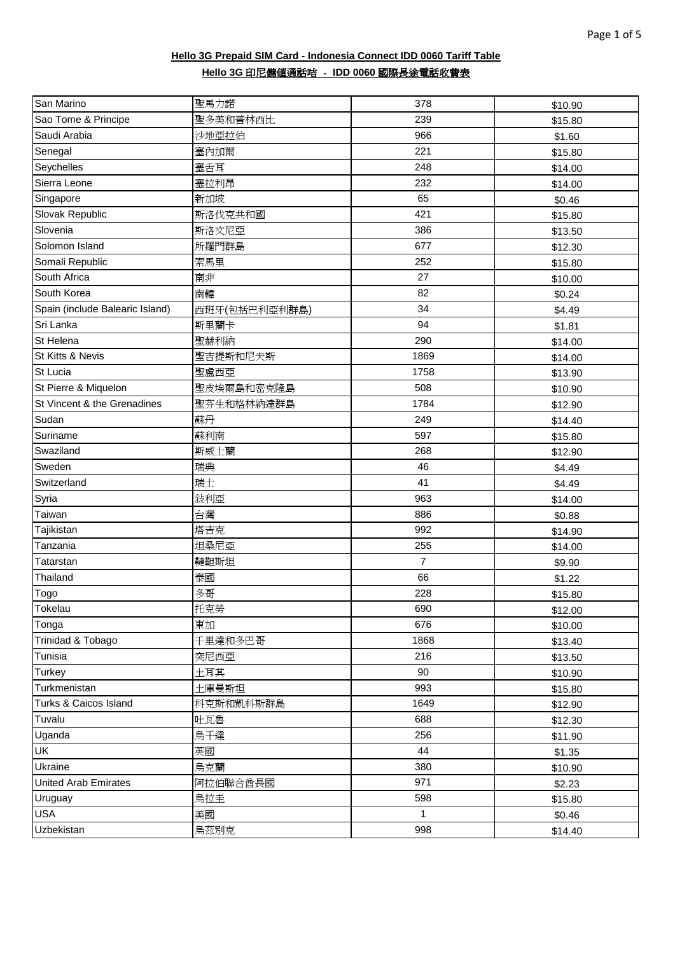| San Marino                      | 聖馬力諾          | 378            | \$10.90 |
|---------------------------------|---------------|----------------|---------|
| Sao Tome & Principe             | 聖多美和普林西比      | 239            | \$15.80 |
| Saudi Arabia                    | 沙地亞拉伯         | 966            | \$1.60  |
| Senegal                         | 塞內加爾          | 221            | \$15.80 |
| Seychelles                      | 塞舌耳           | 248            | \$14.00 |
| Sierra Leone                    | 塞拉利昂          | 232            | \$14.00 |
| Singapore                       | 新加坡           | 65             | \$0.46  |
| Slovak Republic                 | 斯洛伐克共和國       | 421            | \$15.80 |
| Slovenia                        | 斯洛文尼亞         | 386            | \$13.50 |
| Solomon Island                  | 所羅門群島         | 677            | \$12.30 |
| Somali Republic                 | 索馬里           | 252            | \$15.80 |
| South Africa                    | 南非            | 27             | \$10.00 |
| South Korea                     | 南韓            | 82             | \$0.24  |
| Spain (include Balearic Island) | 西班牙(包括巴利亞利群島) | 34             | \$4.49  |
| Sri Lanka                       | 斯里蘭卡          | 94             | \$1.81  |
| St Helena                       | 聖赫利納          | 290            | \$14.00 |
| St Kitts & Nevis                | 聖吉提斯和尼夫斯      | 1869           | \$14.00 |
| St Lucia                        | 聖盧西亞          | 1758           | \$13.90 |
| St Pierre & Miquelon            | 聖皮埃爾島和密克隆島    | 508            | \$10.90 |
| St Vincent & the Grenadines     | 聖芬生和格林納達群島    | 1784           | \$12.90 |
| Sudan                           | 蘇丹            | 249            | \$14.40 |
| Suriname                        | 蘇利南           | 597            | \$15.80 |
| Swaziland                       | 斯威士蘭          | 268            | \$12.90 |
| Sweden                          | 瑞典            | 46             | \$4.49  |
| Switzerland                     | 瑞士            | 41             | \$4.49  |
| Syria                           | 敍利亞           | 963            | \$14.00 |
| Taiwan                          | 台灣            | 886            | \$0.88  |
| Tajikistan                      | 塔吉克           | 992            | \$14.90 |
| Tanzania                        | 坦桑尼亞          | 255            | \$14.00 |
| <b>Tatarstan</b>                | 韃靼斯坦          | $\overline{7}$ | \$9.90  |
| Thailand                        | 泰國            | 66             | \$1.22  |
| Togo                            | 多哥            | 228            | \$15.80 |
| Tokelau                         | 托克勞           | 690            | \$12.00 |
| Tonga                           | 東加            | 676            | \$10.00 |
| Trinidad & Tobago               | 千里達和多巴哥       | 1868           | \$13.40 |
| Tunisia                         | 突尼西亞          | 216            | \$13.50 |
| Turkey                          | 土耳其           | 90             | \$10.90 |
| Turkmenistan                    | 土庫曼斯坦         | 993            | \$15.80 |
| Turks & Caicos Island           | 科克斯和凱科斯群島     | 1649           | \$12.90 |
| Tuvalu                          | 吐瓦魯           | 688            | \$12.30 |
| Uganda                          | 烏干達           | 256            | \$11.90 |
| UK                              | 英國            | 44             | \$1.35  |
| Ukraine                         | 烏克蘭           | 380            | \$10.90 |
| <b>United Arab Emirates</b>     | 阿拉伯聯合酋長國      | 971            | \$2.23  |
| Uruguay                         | 烏拉圭           | 598            | \$15.80 |
| <b>USA</b>                      | 美國            | $\mathbf{1}$   | \$0.46  |
| Uzbekistan                      | 鳥茲別克          | 998            | \$14.40 |